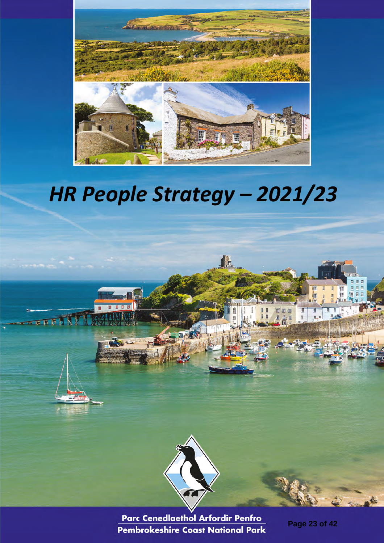

# *HR People Strategy – 2021/23*

IE.



Parc Cenedlaethol Arfordir Penfro Pembrokeshire Coast National Park

*June 2021* 

**Page 23 of 42**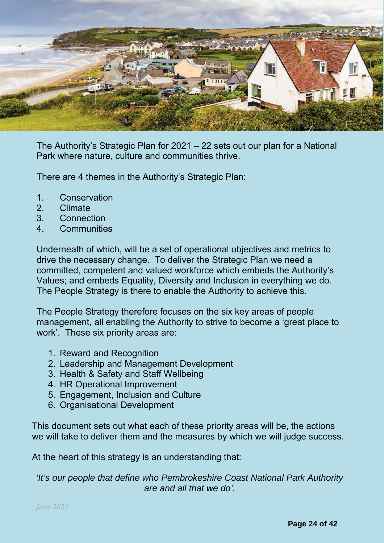

The Authority's Strategic Plan for 2021 – 22 sets out our plan for a National Park where nature, culture and communities thrive.

There are 4 themes in the Authority's Strategic Plan:

- 1. Conservation
- 2. Climate
- 3. Connection
- 4. Communities

Underneath of which, will be a set of operational objectives and metrics to drive the necessary change. To deliver the Strategic Plan we need a committed, competent and valued workforce which embeds the Authority's Values; and embeds Equality, Diversity and Inclusion in everything we do. The People Strategy is there to enable the Authority to achieve this.

The People Strategy therefore focuses on the six key areas of people management, all enabling the Authority to strive to become a 'great place to work'. These six priority areas are:

- 1. Reward and Recognition
- 2. Leadership and Management Development
- 3. Health & Safety and Staff Wellbeing
- 4. HR Operational Improvement
- 5. Engagement, Inclusion and Culture
- 6. Organisational Development

This document sets out what each of these priority areas will be, the actions we will take to deliver them and the measures by which we will judge success.

At the heart of this strategy is an understanding that:

*'It's our people that define who Pembrokeshire Coast National Park Authority are and all that we do'.*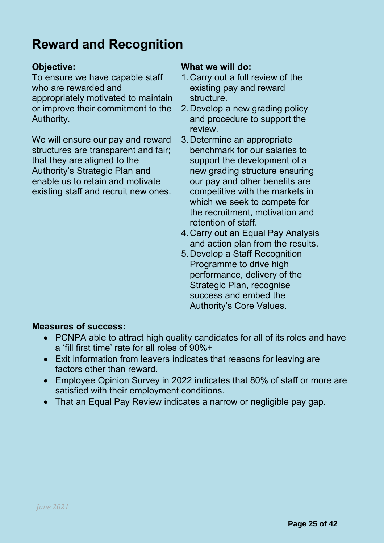## **Reward and Recognition**

To ensure we have capable staff who are rewarded and appropriately motivated to maintain or improve their commitment to the Authority.

We will ensure our pay and reward structures are transparent and fair; that they are aligned to the Authority's Strategic Plan and enable us to retain and motivate existing staff and recruit new ones.

### **Objective: What we will do:**

- 1.Carry out a full review of the existing pay and reward structure.
- 2.Develop a new grading policy and procedure to support the review.
- 3.Determine an appropriate benchmark for our salaries to support the development of a new grading structure ensuring our pay and other benefits are competitive with the markets in which we seek to compete for the recruitment, motivation and retention of staff.
- 4.Carry out an Equal Pay Analysis and action plan from the results.
- 5.Develop a Staff Recognition Programme to drive high performance, delivery of the Strategic Plan, recognise success and embed the Authority's Core Values.

### **Measures of success:**

- PCNPA able to attract high quality candidates for all of its roles and have a 'fill first time' rate for all roles of 90%+
- Exit information from leavers indicates that reasons for leaving are factors other than reward.
- Employee Opinion Survey in 2022 indicates that 80% of staff or more are satisfied with their employment conditions.
- That an Equal Pay Review indicates a narrow or negligible pay gap.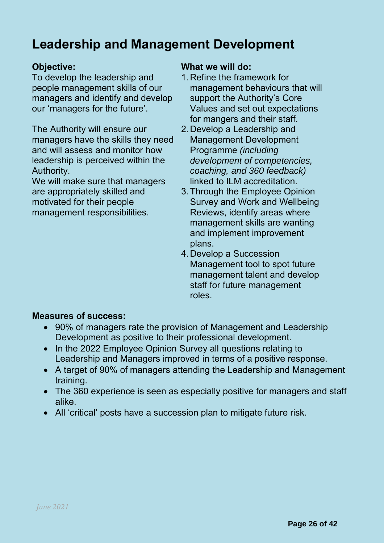## **Leadership and Management Development**

To develop the leadership and people management skills of our managers and identify and develop our 'managers for the future'.

The Authority will ensure our managers have the skills they need and will assess and monitor how leadership is perceived within the Authority.

We will make sure that managers are appropriately skilled and motivated for their people management responsibilities.

### **Objective: What we will do:**

- 1. Refine the framework for management behaviours that will support the Authority's Core Values and set out expectations for mangers and their staff.
- 2. Develop a Leadership and Management Development Programme *(including development of competencies, coaching, and 360 feedback)* linked to ILM accreditation.
- 3.Through the Employee Opinion Survey and Work and Wellbeing Reviews, identify areas where management skills are wanting and implement improvement plans.
- 4. Develop a Succession Management tool to spot future management talent and develop staff for future management roles.

### **Measures of success:**

- 90% of managers rate the provision of Management and Leadership Development as positive to their professional development.
- In the 2022 Employee Opinion Survey all questions relating to Leadership and Managers improved in terms of a positive response.
- A target of 90% of managers attending the Leadership and Management training.
- The 360 experience is seen as especially positive for managers and staff alike.
- All 'critical' posts have a succession plan to mitigate future risk.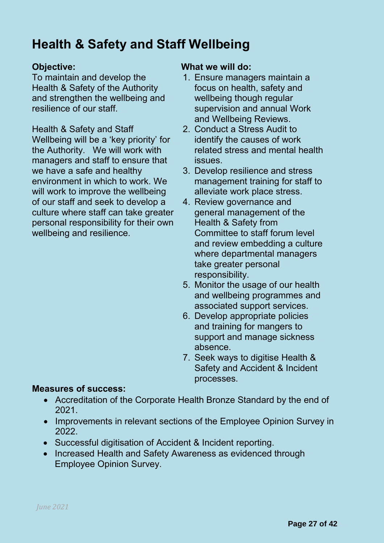## **Health & Safety and Staff Wellbeing**

To maintain and develop the Health & Safety of the Authority and strengthen the wellbeing and resilience of our staff.

Health & Safety and Staff Wellbeing will be a 'key priority' for the Authority. We will work with managers and staff to ensure that we have a safe and healthy environment in which to work. We will work to improve the wellbeing of our staff and seek to develop a culture where staff can take greater personal responsibility for their own wellbeing and resilience.

### **Objective: What we will do:**

- 1. Ensure managers maintain a focus on health, safety and wellbeing though regular supervision and annual Work and Wellbeing Reviews.
- 2. Conduct a Stress Audit to identify the causes of work related stress and mental health issues.
- 3. Develop resilience and stress management training for staff to alleviate work place stress.
- 4. Review governance and general management of the Health & Safety from Committee to staff forum level and review embedding a culture where departmental managers take greater personal responsibility.
- 5. Monitor the usage of our health and wellbeing programmes and associated support services.
- 6. Develop appropriate policies and training for mangers to support and manage sickness absence.
- 7. Seek ways to digitise Health & Safety and Accident & Incident processes.

### **Measures of success:**

- Accreditation of the Corporate Health Bronze Standard by the end of 2021.
- Improvements in relevant sections of the Employee Opinion Survey in 2022.
- Successful digitisation of Accident & Incident reporting.
- Increased Health and Safety Awareness as evidenced through Employee Opinion Survey.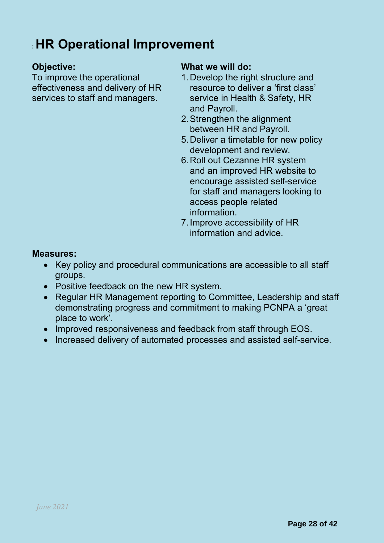## : **HR Operational Improvement**

To improve the operational effectiveness and delivery of HR services to staff and managers.

### **Objective: What we will do:**

- 1.Develop the right structure and resource to deliver a 'first class' service in Health & Safety, HR and Payroll.
- 2.Strengthen the alignment between HR and Payroll.
- 5.Deliver a timetable for new policy development and review.
- 6.Roll out Cezanne HR system and an improved HR website to encourage assisted self-service for staff and managers looking to access people related information.
- 7.Improve accessibility of HR information and advice.

### **Measures:**

- Key policy and procedural communications are accessible to all staff groups.
- Positive feedback on the new HR system.
- Regular HR Management reporting to Committee, Leadership and staff demonstrating progress and commitment to making PCNPA a 'great place to work'.
- Improved responsiveness and feedback from staff through EOS.
- Increased delivery of automated processes and assisted self-service.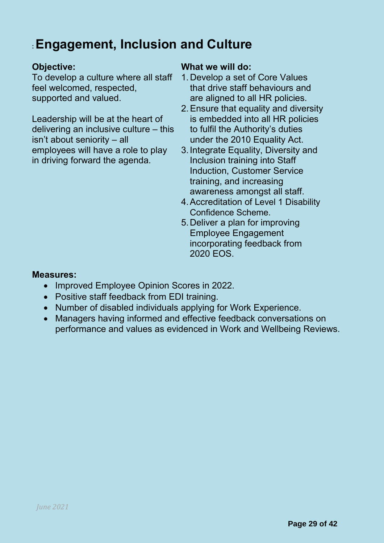## : **Engagement, Inclusion and Culture**

To develop a culture where all staff feel welcomed, respected, supported and valued.

Leadership will be at the heart of delivering an inclusive culture – this isn't about seniority – all employees will have a role to play in driving forward the agenda.

### **Objective: What we will do:**

- 1. Develop a set of Core Values that drive staff behaviours and are aligned to all HR policies.
- 2.Ensure that equality and diversity is embedded into all HR policies to fulfil the Authority's duties under the 2010 Equality Act.
- 3.Integrate Equality, Diversity and Inclusion training into Staff Induction, Customer Service training, and increasing awareness amongst all staff.
- 4.Accreditation of Level 1 Disability Confidence Scheme.
- 5.Deliver a plan for improving Employee Engagement incorporating feedback from 2020 EOS.

### **Measures:**

- Improved Employee Opinion Scores in 2022.
- Positive staff feedback from EDI training.
- Number of disabled individuals applying for Work Experience.
- Managers having informed and effective feedback conversations on performance and values as evidenced in Work and Wellbeing Reviews.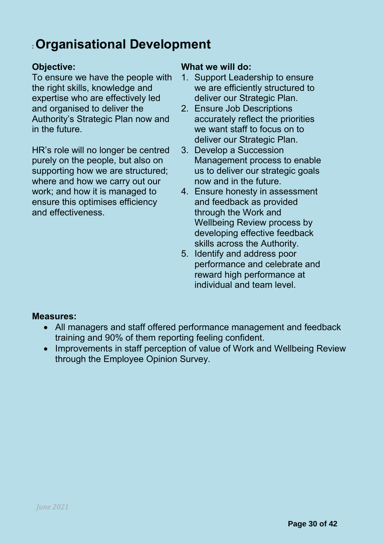## : **Organisational Development**

To ensure we have the people with the right skills, knowledge and expertise who are effectively led and organised to deliver the Authority's Strategic Plan now and in the future.

HR's role will no longer be centred purely on the people, but also on supporting how we are structured; where and how we carry out our work; and how it is managed to ensure this optimises efficiency and effectiveness.

### **Objective: What we will do:**

- 1. Support Leadership to ensure we are efficiently structured to deliver our Strategic Plan.
- 2. Ensure Job Descriptions accurately reflect the priorities we want staff to focus on to deliver our Strategic Plan.
- 3. Develop a Succession Management process to enable us to deliver our strategic goals now and in the future.
- 4. Ensure honesty in assessment and feedback as provided through the Work and Wellbeing Review process by developing effective feedback skills across the Authority.
- 5. Identify and address poor performance and celebrate and reward high performance at individual and team level.

### **Measures:**

- All managers and staff offered performance management and feedback training and 90% of them reporting feeling confident.
- Improvements in staff perception of value of Work and Wellbeing Review through the Employee Opinion Survey.